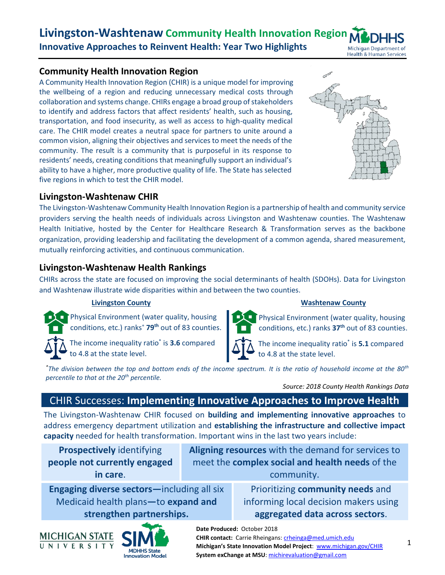# **Community Health Innovation Region**

A Community Health Innovation Region (CHIR) is a unique model for improving the wellbeing of a region and reducing unnecessary medical costs through collaboration and systems change. CHIRs engage a broad group of stakeholders to identify and address factors that affect residents' health, such as housing, transportation, and food insecurity, as well as access to high-quality medical care. The CHIR model creates a neutral space for partners to unite around a common vision, aligning their objectives and services to meet the needs of the community. The result is a community that is purposeful in its response to residents' needs, creating conditions that meaningfully support an individual's ability to have a higher, more productive quality of life. The State has selected five regions in which to test the CHIR model.

# **Livingston-Washtenaw CHIR**

The Livingston-Washtenaw Community Health Innovation Region is a partnership of health and community service providers serving the health needs of individuals across Livingston and Washtenaw counties. The Washtenaw Health Initiative, hosted by the Center for Healthcare Research & Transformation serves as the backbone organization, providing leadership and facilitating the development of a common agenda, shared measurement, mutually reinforcing activities, and continuous communication.

# **Livingston-Washtenaw Health Rankings**

CHIRs across the state are focused on improving the social determinants of health (SDOHs). Data for Livingston and Washtenaw illustrate wide disparities within and between the two counties.

п

### **Livingston County Washtenaw County**

Physical Environment (water quality, housing conditions, etc.) ranks<sup>+</sup> **79th** out of 83 counties.

The income inequality ratio\* is **3.6** compared to 4.8 at the state level.



Physical Environment (water quality, housing conditions, etc.) ranks **37th** out of 83 counties.

The income inequality ratio\* is **5.1** compared to 4.8 at the state level.

*\*The division between the top and bottom ends of the income spectrum. It is the ratio of household income at the 80th percentile to that at the 20th percentile.*

*Source: 2018 County Health Rankings Data*

# CHIR Successes: **Implementing Innovative Approaches to Improve Health**

The Livingston-Washtenaw CHIR focused on **building and implementing innovative approaches** to address emergency department utilization and **establishing the infrastructure and collective impact capacity** needed for health transformation. Important wins in the last two years include:

**Prospectively** identifying **people not currently engaged in care**.

**Aligning resources** with the demand for services to meet the **complex social and health needs** of the community.

**Engaging diverse sectors—**including all six Medicaid health plans**—**to **expand and strengthen partnerships.**

Prioritizing **community needs** and informing local decision makers using **aggregated data across sectors**.





**CHIR contact:** Carrie Rheingans: [crheinga@med.umich.edu](mailto:crheinga@med.umich.edu) **Michigan's State Innovation Model Project**: [www.michigan.gov/CHIR](file:///C:/Users/szymecko/MSU%20System%20exChange%20Dropbox/SIMS%20Project/BrightSpots%202017%20and%20%202018/LWCHIR/www.michigan.gov/CHIR) **System exChange at MSU**[: michirevaluation@gmail.com](mailto:michirevaluation@gmail.com)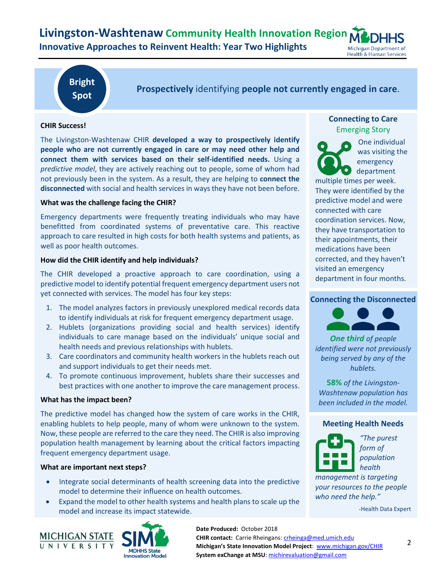

**Bright Spot**

**Prospectively** identifying **people not currently engaged in care**.

#### **CHIR Success!**

The Livingston-Washtenaw CHIR **developed a way to prospectively identify people who are not currently engaged in care or may need other help and connect them with services based on their self-identified needs.** Using a *predictive model*, they are actively reaching out to people, some of whom had not previously been in the system. As a result, they are helping to **connect the disconnected** with social and health services in ways they have not been before.

#### **What was the challenge facing the CHIR?**

Emergency departments were frequently treating individuals who may have benefitted from coordinated systems of preventative care. This reactive approach to care resulted in high costs for both health systems and patients, as well as poor health outcomes.

#### **How did the CHIR identify and help individuals?**

The CHIR developed a proactive approach to care coordination, using a predictive model to identify potential frequent emergency department users not yet connected with services. The model has four key steps:

- 1. The model analyzes factors in previously unexplored medical records data to identify individuals at risk for frequent emergency department usage.
- 2. Hublets (organizations providing social and health services) identify individuals to care manage based on the individuals' unique social and health needs and previous relationships with hublets.
- 3. Care coordinators and community health workers in the hublets reach out and support individuals to get their needs met.
- 4. To promote continuous improvement, hublets share their successes and best practices with one another to improve the care management process.

#### **What has the impact been?**

The predictive model has changed how the system of care works in the CHIR, enabling hublets to help people, many of whom were unknown to the system. Now, these people are referred to the care they need. The CHIR is also improving population health management by learning about the critical factors impacting frequent emergency department usage.

#### **What are important next steps?**

- Integrate social determinants of health screening data into the predictive model to determine their influence on health outcomes.
- Expand the model to other health systems and health plans to scale up the model and increase its impact statewide.





### **Connecting to Care** Emerging Story



One individual was visiting the emergency department

multiple times per week. They were identified by the predictive model and were connected with care coordination services. Now, they have transportation to their appointments, their medications have been corrected, and they haven't visited an emergency department in four months.

#### **Connecting the Disconnected**



*One third of people identified were not previously being served by any of the hublets.* 

**58%** *of the Livingston-Washtenaw population has been included in the model.*

#### **Meeting Health Needs**



*"The purest form of population health* 

*management is targeting your resources to the people who need the help."*

-Health Data Expert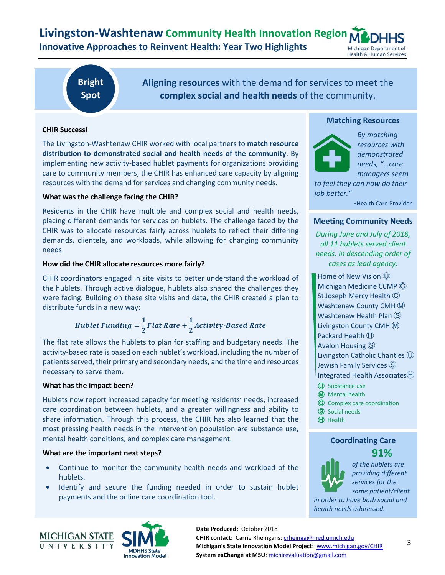**Livingston-Washtenaw Community Health Innovation Region Innovative Approaches to Reinvent Health: Year Two Highlights** Michigan Department of **Health & Human Services** 

# **Bright Spot**

**Aligning resources** with the demand for services to meet the **complex social and health needs** of the community.

#### **CHIR Success!**

The Livingston-Washtenaw CHIR worked with local partners to **match resource distribution to demonstrated social and health needs of the community**. By implementing new activity-based hublet payments for organizations providing care to community members, the CHIR has enhanced care capacity by aligning resources with the demand for services and changing community needs.

#### **What was the challenge facing the CHIR?**

Residents in the CHIR have multiple and complex social and health needs, placing different demands for services on hublets. The challenge faced by the CHIR was to allocate resources fairly across hublets to reflect their differing demands, clientele, and workloads, while allowing for changing community needs.

#### **How did the CHIR allocate resources more fairly?**

CHIR coordinators engaged in site visits to better understand the workload of the hublets. Through active dialogue, hublets also shared the challenges they were facing. Building on these site visits and data, the CHIR created a plan to distribute funds in a new way:

Hublet Funding = 
$$
\frac{1}{2}
$$
Flat Rate +  $\frac{1}{2}$ Activity-Based Rate

The flat rate allows the hublets to plan for staffing and budgetary needs. The activity-based rate is based on each hublet's workload, including the number of patients served, their primary and secondary needs, and the time and resources necessary to serve them.

#### **What has the impact been?**

Hublets now report increased capacity for meeting residents' needs, increased care coordination between hublets, and a greater willingness and ability to share information. Through this process, the CHIR has also learned that the most pressing health needs in the intervention population are substance use, mental health conditions, and complex care management.

#### **What are the important next steps?**

- Continue to monitor the community health needs and workload of the hublets.
- Identify and secure the funding needed in order to sustain hublet payments and the online care coordination tool.





*By matching resources with demonstrated needs, "…care managers seem* 

*to feel they can now do their job better."*

*-*Health Care Provider

#### **Meeting Community Needs**

*During June and July of 2018, all 11 hublets served client needs. In descending order of cases as lead agency:*

Home of New Vision  $<sup>0</sup>$ </sup> Michigan Medicine CCMP  $\odot$ St Joseph Mercy Health  $\overline{\mathbb{C}}$ Washtenaw County CMH M Washtenaw Health Plan  $\circledS$ Livingston County CMH M Packard Health  $<sup>th</sup>$ </sup> Avalon Housing  $\circledS$ Livingston Catholic Charities  $<sup>①</sup>$ </sup> Jewish Family Services  $\circledS$ Integrated Health Associates $\Theta$ 

- Ⓤ Substance use
- **M** Mental health
- Ⓒ Complex care coordination
- Ⓢ Social needs
- ⒽHealth

### **Coordinating Care 91%**



*of the hublets are providing different services for the same patient/client* 

*in order to have both social and health needs addressed.*



**Date Produced:** October 2018 **CHIR contact:** Carrie Rheingans: [crheinga@med.umich.edu](mailto:crheinga@med.umich.edu) **Michigan's State Innovation Model Project**: [www.michigan.gov/CHIR](file:///C:/Users/szymecko/MSU%20System%20exChange%20Dropbox/SIMS%20Project/BrightSpots%202017%20and%20%202018/LWCHIR/www.michigan.gov/CHIR) **System exChange at MSU**[: michirevaluation@gmail.com](mailto:michirevaluation@gmail.com)